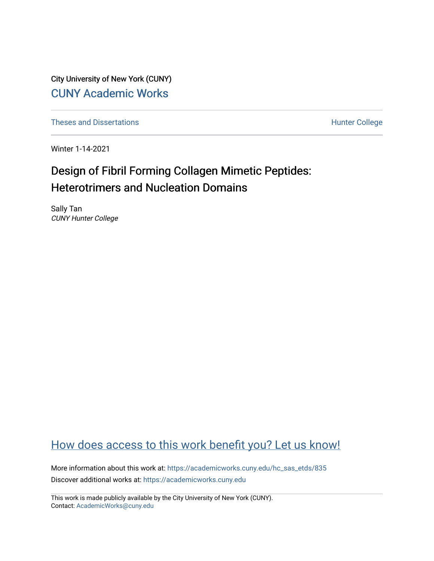City University of New York (CUNY) [CUNY Academic Works](https://academicworks.cuny.edu/) 

[Theses and Dissertations](https://academicworks.cuny.edu/hc_sas_etds) **Hunter College** 

Winter 1-14-2021

# Design of Fibril Forming Collagen Mimetic Peptides: Heterotrimers and Nucleation Domains

Sally Tan CUNY Hunter College

## [How does access to this work benefit you? Let us know!](http://ols.cuny.edu/academicworks/?ref=https://academicworks.cuny.edu/hc_sas_etds/835)

More information about this work at: [https://academicworks.cuny.edu/hc\\_sas\\_etds/835](https://academicworks.cuny.edu/hc_sas_etds/835)  Discover additional works at: [https://academicworks.cuny.edu](https://academicworks.cuny.edu/?)

This work is made publicly available by the City University of New York (CUNY). Contact: [AcademicWorks@cuny.edu](mailto:AcademicWorks@cuny.edu)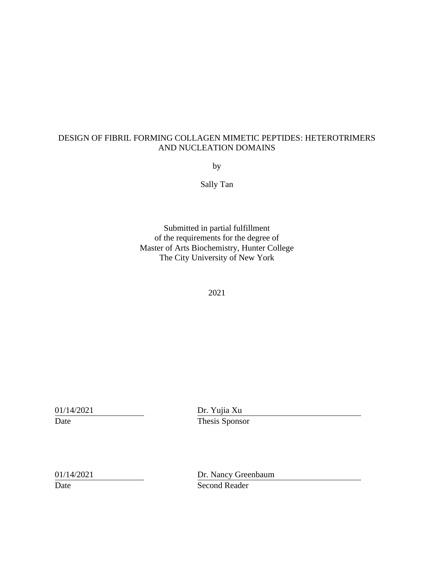## DESIGN OF FIBRIL FORMING COLLAGEN MIMETIC PEPTIDES: HETEROTRIMERS AND NUCLEATION DOMAINS

by

Sally Tan

Submitted in partial fulfillment of the requirements for the degree of Master of Arts Biochemistry, Hunter College The City University of New York

2021

01/14/2021 Dr. Yujia Xu Date Thesis Sponsor

|                           | 01/14/2021 |
|---------------------------|------------|
| $\mathbf{D}_{\mathbf{a}}$ |            |

Dr. Nancy Greenbaum Date Second Reader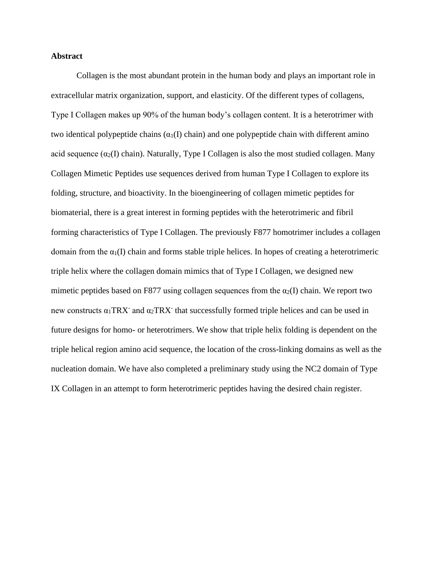#### **Abstract**

Collagen is the most abundant protein in the human body and plays an important role in extracellular matrix organization, support, and elasticity. Of the different types of collagens, Type I Collagen makes up 90% of the human body's collagen content. It is a heterotrimer with two identical polypeptide chains  $(\alpha_1(I)$  chain) and one polypeptide chain with different amino acid sequence  $(\alpha_2(I)$  chain). Naturally, Type I Collagen is also the most studied collagen. Many Collagen Mimetic Peptides use sequences derived from human Type I Collagen to explore its folding, structure, and bioactivity. In the bioengineering of collagen mimetic peptides for biomaterial, there is a great interest in forming peptides with the heterotrimeric and fibril forming characteristics of Type I Collagen. The previously F877 homotrimer includes a collagen domain from the  $\alpha_1(I)$  chain and forms stable triple helices. In hopes of creating a heterotrimeric triple helix where the collagen domain mimics that of Type I Collagen, we designed new mimetic peptides based on F877 using collagen sequences from the  $\alpha_2(I)$  chain. We report two new constructs  $\alpha_1$ TRX<sup>-</sup> and  $\alpha_2$ TRX<sup>-</sup> that successfully formed triple helices and can be used in future designs for homo- or heterotrimers. We show that triple helix folding is dependent on the triple helical region amino acid sequence, the location of the cross-linking domains as well as the nucleation domain. We have also completed a preliminary study using the NC2 domain of Type IX Collagen in an attempt to form heterotrimeric peptides having the desired chain register.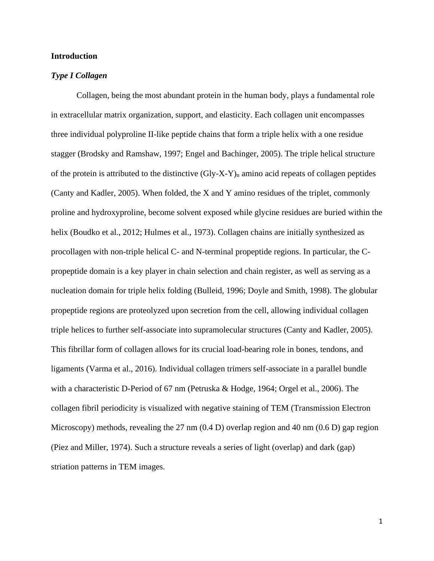#### **Introduction**

#### *Type I Collagen*

Collagen, being the most abundant protein in the human body, plays a fundamental role in extracellular matrix organization, support, and elasticity. Each collagen unit encompasses three individual polyproline II-like peptide chains that form a triple helix with a one residue stagger (Brodsky and Ramshaw, 1997; Engel and Bachinger, 2005). The triple helical structure of the protein is attributed to the distinctive  $(Gly-X-Y)<sub>n</sub>$  amino acid repeats of collagen peptides (Canty and Kadler, 2005). When folded, the X and Y amino residues of the triplet, commonly proline and hydroxyproline, become solvent exposed while glycine residues are buried within the helix (Boudko et al., 2012; Hulmes et al., 1973). Collagen chains are initially synthesized as procollagen with non-triple helical C- and N-terminal propeptide regions. In particular, the Cpropeptide domain is a key player in chain selection and chain register, as well as serving as a nucleation domain for triple helix folding (Bulleid, 1996; Doyle and Smith, 1998). The globular propeptide regions are proteolyzed upon secretion from the cell, allowing individual collagen triple helices to further self-associate into supramolecular structures (Canty and Kadler, 2005). This fibrillar form of collagen allows for its crucial load-bearing role in bones, tendons, and ligaments (Varma et al., 2016). Individual collagen trimers self-associate in a parallel bundle with a characteristic D-Period of 67 nm (Petruska & Hodge, 1964; Orgel et al., 2006). The collagen fibril periodicity is visualized with negative staining of TEM (Transmission Electron Microscopy) methods, revealing the 27 nm (0.4 D) overlap region and 40 nm (0.6 D) gap region (Piez and Miller, 1974). Such a structure reveals a series of light (overlap) and dark (gap) striation patterns in TEM images.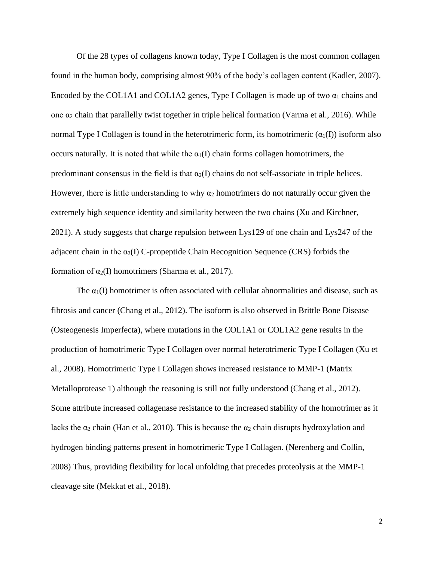Of the 28 types of collagens known today, Type I Collagen is the most common collagen found in the human body, comprising almost 90% of the body's collagen content (Kadler, 2007). Encoded by the COL1A1 and COL1A2 genes, Type I Collagen is made up of two  $\alpha_1$  chains and one α<sup>2</sup> chain that parallelly twist together in triple helical formation (Varma et al., 2016). While normal Type I Collagen is found in the heterotrimeric form, its homotrimeric  $(\alpha_1(I))$  isoform also occurs naturally. It is noted that while the  $\alpha_1(I)$  chain forms collagen homotrimers, the predominant consensus in the field is that  $\alpha_2(I)$  chains do not self-associate in triple helices. However, there is little understanding to why  $\alpha_2$  homotrimers do not naturally occur given the extremely high sequence identity and similarity between the two chains (Xu and Kirchner, 2021). A study suggests that charge repulsion between Lys129 of one chain and Lys247 of the adjacent chain in the  $\alpha_2(I)$  C-propeptide Chain Recognition Sequence (CRS) forbids the formation of  $\alpha_2(I)$  homotrimers (Sharma et al., 2017).

The  $\alpha_1(I)$  homotrimer is often associated with cellular abnormalities and disease, such as fibrosis and cancer (Chang et al., 2012). The isoform is also observed in Brittle Bone Disease (Osteogenesis Imperfecta), where mutations in the COL1A1 or COL1A2 gene results in the production of homotrimeric Type I Collagen over normal heterotrimeric Type I Collagen (Xu et al., 2008). Homotrimeric Type I Collagen shows increased resistance to MMP-1 (Matrix Metalloprotease 1) although the reasoning is still not fully understood (Chang et al., 2012). Some attribute increased collagenase resistance to the increased stability of the homotrimer as it lacks the  $\alpha_2$  chain (Han et al., 2010). This is because the  $\alpha_2$  chain disrupts hydroxylation and hydrogen binding patterns present in homotrimeric Type I Collagen. (Nerenberg and Collin, 2008) Thus, providing flexibility for local unfolding that precedes proteolysis at the MMP-1 cleavage site (Mekkat et al., 2018).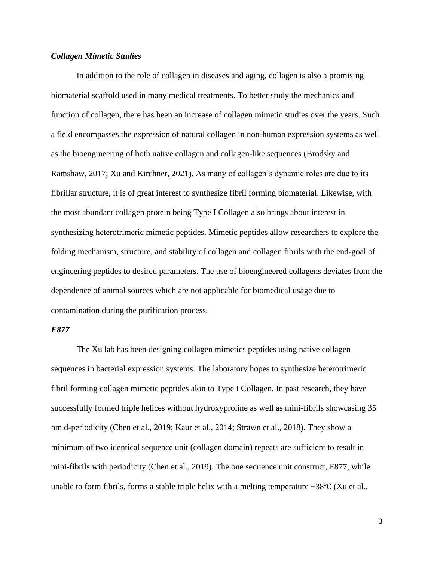#### *Collagen Mimetic Studies*

In addition to the role of collagen in diseases and aging, collagen is also a promising biomaterial scaffold used in many medical treatments. To better study the mechanics and function of collagen, there has been an increase of collagen mimetic studies over the years. Such a field encompasses the expression of natural collagen in non-human expression systems as well as the bioengineering of both native collagen and collagen-like sequences (Brodsky and Ramshaw, 2017; Xu and Kirchner, 2021). As many of collagen's dynamic roles are due to its fibrillar structure, it is of great interest to synthesize fibril forming biomaterial. Likewise, with the most abundant collagen protein being Type I Collagen also brings about interest in synthesizing heterotrimeric mimetic peptides. Mimetic peptides allow researchers to explore the folding mechanism, structure, and stability of collagen and collagen fibrils with the end-goal of engineering peptides to desired parameters. The use of bioengineered collagens deviates from the dependence of animal sources which are not applicable for biomedical usage due to contamination during the purification process.

#### *F877*

The Xu lab has been designing collagen mimetics peptides using native collagen sequences in bacterial expression systems. The laboratory hopes to synthesize heterotrimeric fibril forming collagen mimetic peptides akin to Type I Collagen. In past research, they have successfully formed triple helices without hydroxyproline as well as mini-fibrils showcasing 35 nm d-periodicity (Chen et al., 2019; Kaur et al., 2014; Strawn et al., 2018). They show a minimum of two identical sequence unit (collagen domain) repeats are sufficient to result in mini-fibrils with periodicity (Chen et al., 2019). The one sequence unit construct, F877, while unable to form fibrils, forms a stable triple helix with a melting temperature ~38 $\degree$ C (Xu et al.,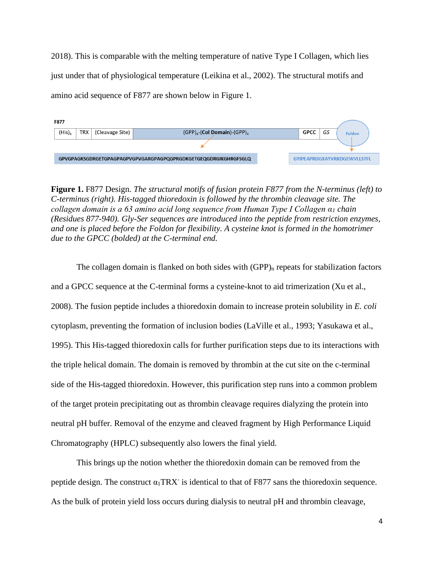2018). This is comparable with the melting temperature of native Type I Collagen, which lies just under that of physiological temperature (Leikina et al., 2002). The structural motifs and amino acid sequence of F877 are shown below in Figure 1.



**Figure 1.** F877 Design. *The structural motifs of fusion protein F877 from the N-terminus (left) to C-terminus (right). His-tagged thioredoxin is followed by the thrombin cleavage site. The collagen domain is a 63 amino acid long sequence from Human Type I Collagen α<sup>1</sup> chain (Residues 877-940). Gly-Ser sequences are introduced into the peptide from restriction enzymes, and one is placed before the Foldon for flexibility. A cysteine knot is formed in the homotrimer due to the GPCC (bolded) at the C-terminal end.*

The collagen domain is flanked on both sides with  $(GPP)_n$  repeats for stabilization factors and a GPCC sequence at the C-terminal forms a cysteine-knot to aid trimerization (Xu et al., 2008). The fusion peptide includes a thioredoxin domain to increase protein solubility in *E. coli* cytoplasm, preventing the formation of inclusion bodies (LaVille et al., 1993; Yasukawa et al., 1995). This His-tagged thioredoxin calls for further purification steps due to its interactions with the triple helical domain. The domain is removed by thrombin at the cut site on the c-terminal side of the His-tagged thioredoxin. However, this purification step runs into a common problem of the target protein precipitating out as thrombin cleavage requires dialyzing the protein into neutral pH buffer. Removal of the enzyme and cleaved fragment by High Performance Liquid Chromatography (HPLC) subsequently also lowers the final yield.

This brings up the notion whether the thioredoxin domain can be removed from the peptide design. The construct  $\alpha_1 \text{T}\text{R}\text{X}$  is identical to that of F877 sans the thioredoxin sequence. As the bulk of protein yield loss occurs during dialysis to neutral pH and thrombin cleavage,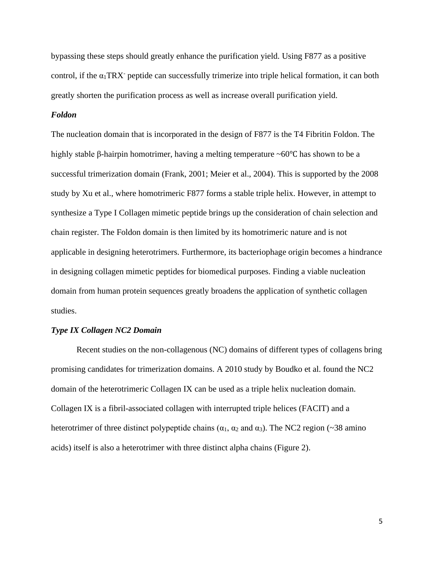bypassing these steps should greatly enhance the purification yield. Using F877 as a positive control, if the  $\alpha_1$ TRX<sup>-</sup> peptide can successfully trimerize into triple helical formation, it can both greatly shorten the purification process as well as increase overall purification yield.

#### *Foldon*

The nucleation domain that is incorporated in the design of F877 is the T4 Fibritin Foldon. The highly stable β-hairpin homotrimer, having a melting temperature ~60℃ has shown to be a successful trimerization domain (Frank, 2001; Meier et al., 2004). This is supported by the 2008 study by Xu et al., where homotrimeric F877 forms a stable triple helix. However, in attempt to synthesize a Type I Collagen mimetic peptide brings up the consideration of chain selection and chain register. The Foldon domain is then limited by its homotrimeric nature and is not applicable in designing heterotrimers. Furthermore, its bacteriophage origin becomes a hindrance in designing collagen mimetic peptides for biomedical purposes. Finding a viable nucleation domain from human protein sequences greatly broadens the application of synthetic collagen studies.

#### *Type IX Collagen NC2 Domain*

Recent studies on the non-collagenous (NC) domains of different types of collagens bring promising candidates for trimerization domains. A 2010 study by Boudko et al. found the NC2 domain of the heterotrimeric Collagen IX can be used as a triple helix nucleation domain. Collagen IX is a fibril-associated collagen with interrupted triple helices (FACIT) and a heterotrimer of three distinct polypeptide chains ( $\alpha_1$ ,  $\alpha_2$  and  $\alpha_3$ ). The NC2 region (~38 amino acids) itself is also a heterotrimer with three distinct alpha chains (Figure 2).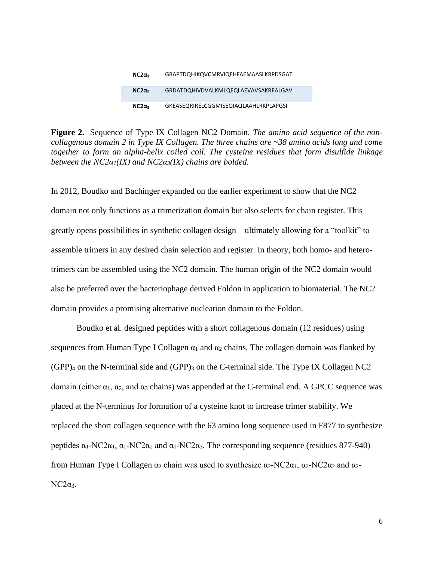| $NC2\alpha_1$ | GRAPTDQHIKQVCMRVIQEHFAEMAASLKRPDSGAT         |
|---------------|----------------------------------------------|
| $NC2\alpha$   | GRDATDOHIVDVALKMLOEQLAEVAVSAKREALGAV         |
| $NC2\alpha_3$ | <b>GKEASEORIRELCGGMISEOIAOLAAHLRKPLAPGSI</b> |

**Figure 2.** Sequence of Type IX Collagen NC2 Domain. *The amino acid sequence of the noncollagenous domain 2 in Type IX Collagen. The three chains are ~38 amino acids long and come together to form an alpha-helix coiled coil. The cysteine residues that form disulfide linkage between the NC2α1(IX) and NC2α3(IX) chains are bolded.*

In 2012, Boudko and Bachinger expanded on the earlier experiment to show that the NC2 domain not only functions as a trimerization domain but also selects for chain register. This greatly opens possibilities in synthetic collagen design—ultimately allowing for a "toolkit" to assemble trimers in any desired chain selection and register. In theory, both homo- and heterotrimers can be assembled using the NC2 domain. The human origin of the NC2 domain would also be preferred over the bacteriophage derived Foldon in application to biomaterial. The NC2 domain provides a promising alternative nucleation domain to the Foldon.

Boudko et al. designed peptides with a short collagenous domain (12 residues) using sequences from Human Type I Collagen  $\alpha_1$  and  $\alpha_2$  chains. The collagen domain was flanked by  $(GPP)_4$  on the N-terminal side and  $(GPP)_3$  on the C-terminal side. The Type IX Collagen NC2 domain (either  $\alpha_1$ ,  $\alpha_2$ , and  $\alpha_3$  chains) was appended at the C-terminal end. A GPCC sequence was placed at the N-terminus for formation of a cysteine knot to increase trimer stability. We replaced the short collagen sequence with the 63 amino long sequence used in F877 to synthesize peptides  $\alpha_1$ -NC2 $\alpha_1$ ,  $\alpha_1$ -NC2 $\alpha_2$  and  $\alpha_1$ -NC2 $\alpha_3$ . The corresponding sequence (residues 877-940) from Human Type I Collagen  $\alpha_2$  chain was used to synthesize  $\alpha_2$ -NC2 $\alpha_1$ ,  $\alpha_2$ -NC2 $\alpha_2$  and  $\alpha_2$ - $NC2\alpha_3$ .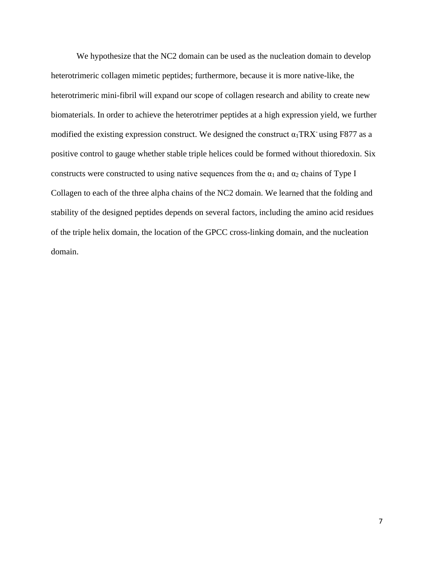We hypothesize that the NC2 domain can be used as the nucleation domain to develop heterotrimeric collagen mimetic peptides; furthermore, because it is more native-like, the heterotrimeric mini-fibril will expand our scope of collagen research and ability to create new biomaterials. In order to achieve the heterotrimer peptides at a high expression yield, we further modified the existing expression construct. We designed the construct  $\alpha_1$ TRX<sup>-</sup> using F877 as a positive control to gauge whether stable triple helices could be formed without thioredoxin. Six constructs were constructed to using native sequences from the  $\alpha_1$  and  $\alpha_2$  chains of Type I Collagen to each of the three alpha chains of the NC2 domain. We learned that the folding and stability of the designed peptides depends on several factors, including the amino acid residues of the triple helix domain, the location of the GPCC cross-linking domain, and the nucleation domain.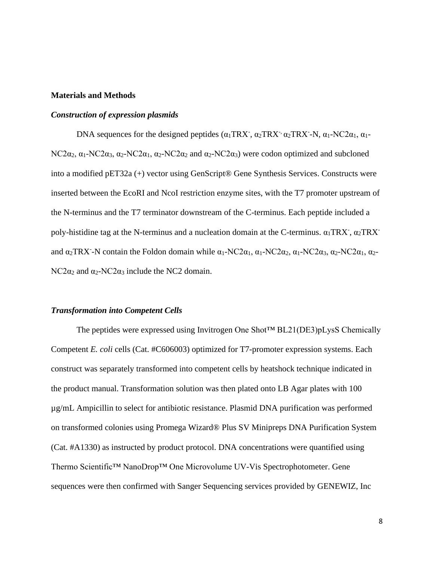#### **Materials and Methods**

#### *Construction of expression plasmids*

DNA sequences for the designed peptides  $(\alpha_1 \text{TR} X, \alpha_2 \text{TR} X, \alpha_2 \text{TR} X, \alpha_1 - \text{NC} 2\alpha_1, \alpha_1 - \text{NC} 2\alpha_2)$ NC2 $\alpha_2$ ,  $\alpha_1$ -NC2 $\alpha_3$ ,  $\alpha_2$ -NC2 $\alpha_1$ ,  $\alpha_2$ -NC2 $\alpha_2$  and  $\alpha_2$ -NC2 $\alpha_3$ ) were codon optimized and subcloned into a modified pET32a (+) vector using GenScript® Gene Synthesis Services. Constructs were inserted between the EcoRI and NcoI restriction enzyme sites, with the T7 promoter upstream of the N-terminus and the T7 terminator downstream of the C-terminus. Each peptide included a poly-histidine tag at the N-terminus and a nucleation domain at the C-terminus.  $\alpha_1 \text{T}\text{RX}$ ,  $\alpha_2 \text{T}\text{RX}$ and  $\alpha_2$ TRX<sup>-</sup>-N contain the Foldon domain while  $\alpha_1$ -NC2 $\alpha_1$ ,  $\alpha_1$ -NC2 $\alpha_2$ ,  $\alpha_1$ -NC2 $\alpha_3$ ,  $\alpha_2$ -NC2 $\alpha_1$ ,  $\alpha_2$ - $NC2\alpha_2$  and  $\alpha_2$ -NC2 $\alpha_3$  include the NC2 domain.

#### *Transformation into Competent Cells*

The peptides were expressed using Invitrogen One Shot™ BL21(DE3)pLysS Chemically Competent *E. coli* cells (Cat. #C606003) optimized for T7-promoter expression systems. Each construct was separately transformed into competent cells by heatshock technique indicated in the product manual. Transformation solution was then plated onto LB Agar plates with 100 µg/mL Ampicillin to select for antibiotic resistance. Plasmid DNA purification was performed on transformed colonies using Promega Wizard® Plus SV Minipreps DNA Purification System (Cat. #A1330) as instructed by product protocol. DNA concentrations were quantified using Thermo Scientific™ NanoDrop™ One Microvolume UV-Vis Spectrophotometer. Gene sequences were then confirmed with Sanger Sequencing services provided by GENEWIZ, Inc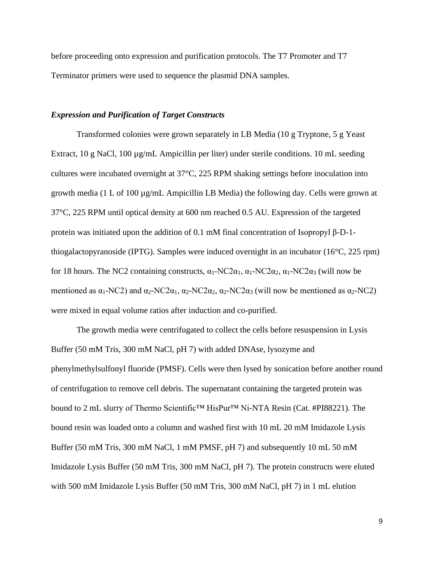before proceeding onto expression and purification protocols. The T7 Promoter and T7 Terminator primers were used to sequence the plasmid DNA samples.

#### *Expression and Purification of Target Constructs*

Transformed colonies were grown separately in LB Media (10 g Tryptone, 5 g Yeast Extract, 10 g NaCl, 100 µg/mL Ampicillin per liter) under sterile conditions. 10 mL seeding cultures were incubated overnight at 37°C, 225 RPM shaking settings before inoculation into growth media (1 L of 100 µg/mL Ampicillin LB Media) the following day. Cells were grown at 37°C, 225 RPM until optical density at 600 nm reached 0.5 AU. Expression of the targeted protein was initiated upon the addition of 0.1 mM final concentration of Isopropyl β-D-1 thiogalactopyranoside (IPTG). Samples were induced overnight in an incubator (16°C, 225 rpm) for 18 hours. The NC2 containing constructs,  $α_1$ -NC2 $α_1$ ,  $α_1$ -NC2 $α_2$ ,  $α_1$ -NC2 $α_3$  (will now be mentioned as  $\alpha_1$ -NC2) and  $\alpha_2$ -NC2 $\alpha_1$ ,  $\alpha_2$ -NC2 $\alpha_2$ ,  $\alpha_2$ -NC2 $\alpha_3$  (will now be mentioned as  $\alpha_2$ -NC2) were mixed in equal volume ratios after induction and co-purified.

The growth media were centrifugated to collect the cells before resuspension in Lysis Buffer (50 mM Tris, 300 mM NaCl, pH 7) with added DNAse, lysozyme and phenylmethylsulfonyl fluoride (PMSF). Cells were then lysed by sonication before another round of centrifugation to remove cell debris. The supernatant containing the targeted protein was bound to 2 mL slurry of Thermo Scientific™ HisPur™ Ni-NTA Resin (Cat. #PI88221). The bound resin was loaded onto a column and washed first with 10 mL 20 mM Imidazole Lysis Buffer (50 mM Tris, 300 mM NaCl, 1 mM PMSF, pH 7) and subsequently 10 mL 50 mM Imidazole Lysis Buffer (50 mM Tris, 300 mM NaCl, pH 7). The protein constructs were eluted with 500 mM Imidazole Lysis Buffer (50 mM Tris, 300 mM NaCl, pH 7) in 1 mL elution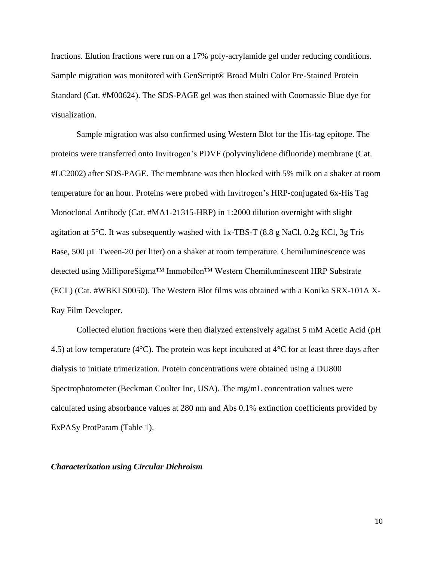fractions. Elution fractions were run on a 17% poly-acrylamide gel under reducing conditions. Sample migration was monitored with GenScript® Broad Multi Color Pre-Stained Protein Standard (Cat. #M00624). The SDS-PAGE gel was then stained with Coomassie Blue dye for visualization.

Sample migration was also confirmed using Western Blot for the His-tag epitope. The proteins were transferred onto Invitrogen's PDVF (polyvinylidene difluoride) membrane (Cat. #LC2002) after SDS-PAGE. The membrane was then blocked with 5% milk on a shaker at room temperature for an hour. Proteins were probed with Invitrogen's HRP-conjugated 6x-His Tag Monoclonal Antibody (Cat. #MA1-21315-HRP) in 1:2000 dilution overnight with slight agitation at  $5^{\circ}$ C. It was subsequently washed with 1x-TBS-T (8.8 g NaCl, 0.2g KCl, 3g Tris Base, 500 µL Tween-20 per liter) on a shaker at room temperature. Chemiluminescence was detected using MilliporeSigma™ Immobilon™ Western Chemiluminescent HRP Substrate (ECL) (Cat. #WBKLS0050). The Western Blot films was obtained with a Konika SRX-101A X-Ray Film Developer.

Collected elution fractions were then dialyzed extensively against 5 mM Acetic Acid (pH 4.5) at low temperature (4°C). The protein was kept incubated at 4°C for at least three days after dialysis to initiate trimerization. Protein concentrations were obtained using a DU800 Spectrophotometer (Beckman Coulter Inc, USA). The mg/mL concentration values were calculated using absorbance values at 280 nm and Abs 0.1% extinction coefficients provided by ExPASy ProtParam (Table 1).

#### *Characterization using Circular Dichroism*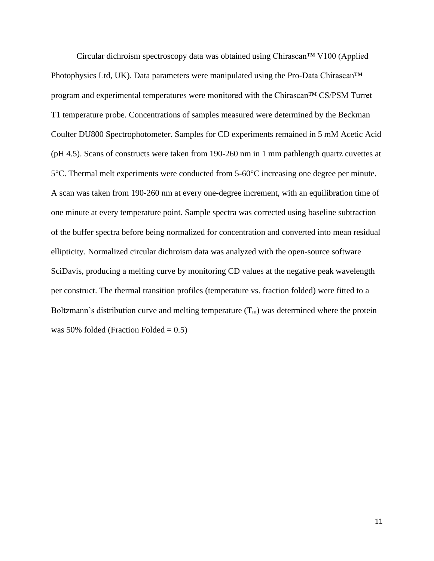Circular dichroism spectroscopy data was obtained using Chirascan™ V100 (Applied Photophysics Ltd, UK). Data parameters were manipulated using the Pro-Data Chirascan™ program and experimental temperatures were monitored with the Chirascan™ CS/PSM Turret T1 temperature probe. Concentrations of samples measured were determined by the Beckman Coulter DU800 Spectrophotometer. Samples for CD experiments remained in 5 mM Acetic Acid (pH 4.5). Scans of constructs were taken from 190-260 nm in 1 mm pathlength quartz cuvettes at 5°C. Thermal melt experiments were conducted from 5-60°C increasing one degree per minute. A scan was taken from 190-260 nm at every one-degree increment, with an equilibration time of one minute at every temperature point. Sample spectra was corrected using baseline subtraction of the buffer spectra before being normalized for concentration and converted into mean residual ellipticity. Normalized circular dichroism data was analyzed with the open-source software SciDavis, producing a melting curve by monitoring CD values at the negative peak wavelength per construct. The thermal transition profiles (temperature vs. fraction folded) were fitted to a Boltzmann's distribution curve and melting temperature  $(T_m)$  was determined where the protein was 50% folded (Fraction Folded  $= 0.5$ )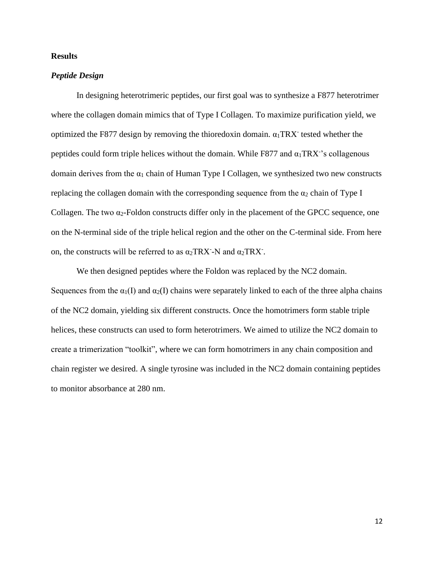#### **Results**

#### *Peptide Design*

In designing heterotrimeric peptides, our first goal was to synthesize a F877 heterotrimer where the collagen domain mimics that of Type I Collagen. To maximize purification yield, we optimized the F877 design by removing the thioredoxin domain.  $\alpha_1 \text{T}\text{R}\text{X}$  tested whether the peptides could form triple helices without the domain. While F877 and  $\alpha_1$ TRX<sup>-</sup>'s collagenous domain derives from the  $\alpha_1$  chain of Human Type I Collagen, we synthesized two new constructs replacing the collagen domain with the corresponding sequence from the  $\alpha_2$  chain of Type I Collagen. The two  $\alpha_2$ -Foldon constructs differ only in the placement of the GPCC sequence, one on the N-terminal side of the triple helical region and the other on the C-terminal side. From here on, the constructs will be referred to as  $\alpha_2$ TRX<sup>-</sup>-N and  $\alpha_2$ TRX<sup>-</sup>.

We then designed peptides where the Foldon was replaced by the NC2 domain. Sequences from the  $\alpha_1(I)$  and  $\alpha_2(I)$  chains were separately linked to each of the three alpha chains of the NC2 domain, yielding six different constructs. Once the homotrimers form stable triple helices, these constructs can used to form heterotrimers. We aimed to utilize the NC2 domain to create a trimerization "toolkit", where we can form homotrimers in any chain composition and chain register we desired. A single tyrosine was included in the NC2 domain containing peptides to monitor absorbance at 280 nm.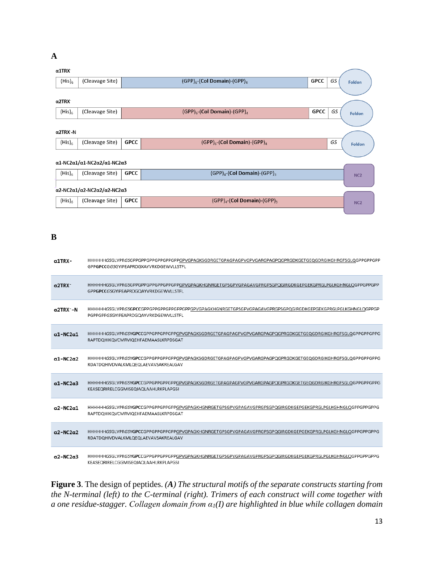### **A**

#### $\alpha$ 1TRX

| <b>ULINA</b>                                                                    |                                                                                 |             |                                              |      |    |                 |
|---------------------------------------------------------------------------------|---------------------------------------------------------------------------------|-------------|----------------------------------------------|------|----|-----------------|
| $(His)_6$                                                                       | (Cleavage Site)                                                                 |             | $(GPP)_{6}$ -(Col Domain)-(GPP) <sub>4</sub> | GPCC | GS | <b>Foldon</b>   |
|                                                                                 |                                                                                 |             |                                              |      |    |                 |
| $\alpha$ 2TRX                                                                   |                                                                                 |             |                                              |      |    |                 |
| $(His)_6$                                                                       | (Cleavage Site)                                                                 |             | $(GPP)_{6}$ -(Col Domain)-(GPP) <sub>4</sub> | GPCC | GS | <b>Foldon</b>   |
|                                                                                 |                                                                                 |             |                                              |      |    |                 |
| $\alpha$ 2TRX - N                                                               |                                                                                 |             |                                              |      |    |                 |
| $(His)_6$                                                                       | (Cleavage Site)                                                                 | <b>GPCC</b> | $(GPP)_6$ -(Col Domain)-(GPP) <sub>4</sub>   |      | GS | Foldon          |
|                                                                                 |                                                                                 |             |                                              |      |    |                 |
|                                                                                 | $\alpha$ 1-NC2 $\alpha$ 1/ $\alpha$ 1-NC2 $\alpha$ 2/ $\alpha$ 1-NC2 $\alpha$ 3 |             |                                              |      |    |                 |
| $(His)_6$                                                                       | (Cleavage Site)                                                                 | <b>GPCC</b> | $(GPP)a$ -(Col Domain)-(GPP) <sub>3</sub>    |      |    | NC <sub>2</sub> |
| $\alpha$ 2-NC2 $\alpha$ 1/ $\alpha$ 2-NC2 $\alpha$ 2/ $\alpha$ 2-NC2 $\alpha$ 3 |                                                                                 |             |                                              |      |    |                 |
|                                                                                 |                                                                                 |             |                                              |      |    |                 |
| $(His)_6$                                                                       | (Cleavage Site)                                                                 | <b>GPCC</b> | $(GPP)a$ -(Col Domain)-(GPP) <sub>3</sub>    |      |    | NC <sub>2</sub> |
|                                                                                 |                                                                                 |             |                                              |      |    |                 |

#### **B**

| α1TRX -                    | HHHHHHGSGLVPRGSGPPGPPGPPGPPGPPGPPGPVGPAGKSGDRGETGPAGPAGPVGPVGARGPAGPQGPRGDKGETGEQGDRGIKGHRGFSGLQGPPGPPGPP<br>GPPGPCCGGSGYIPEAPRDGXAYVRKDGEWVLLSTFL |
|----------------------------|----------------------------------------------------------------------------------------------------------------------------------------------------|
| $\alpha$ 2TRX <sup>-</sup> | HHHHHHGSGLVPRGSGPPGPPGPPGPPGPPGPVGPAGKHGNRGETGPSGPVGPAGAVGPRGPSGPQGIRGDKGEPGEKGPRGLPGLKGHNGLQGPPGPPGPP<br>GPPGPCCGSGYIPEAPRDGQAYVRKDGEWVLLSTFL     |
| $\alpha$ 2TRX - N          | HHHHHHGSGLVPRGSGPCCGPPGPPGPPGPPGPPGPPGPVGPAGKHGNRGETGPSGPVGPAGAVGPRGPSGPQGIRGDKGEPGEKGPRGLPGLKGHNGLQGPPGP<br>PGPPGPPGSGYIPEAPRDGQAYVRKDGEWVLLSTFL  |
| $\alpha$ 1-NC2 $\alpha$ 1  | HHHHHHGSGLVPRGSYGPCCGPPGPPGPPGPVGPAGKSGDRGETGPAGPAGPVGPVGARGPAGPQGPRGDKGETGEQGDRGIKGHRGFSGLQGPPGPPGPPG<br>RAPTDQHIKQVCMRVIQEHFAEMAASLKRPDSGAT      |
| $\alpha$ 1-NC2 $\alpha$ 2  | HHHHHHGSGLVPRGSYGPCCGPPGPPGPPGPPGPVGPAGKSGDRGETGPAGPAGPVGPVGARGPAGPQGPRGDKGETGEQGDRGIKGHRGFSGLQGPPGPPGPPG<br>RDATDQHIVDVALKMLQEQLAEVAVSAKREALGAV   |
| $\alpha$ 1-NC2 $\alpha$ 3  | HHHHHHGSGLVPRGSYGPCCGPPGPPGPPGPVGPAGKSGDRGETGPAGPAGPVGPVGARGPAGPQGPRGDKGETGEQGDRGIKGHRGFSGLQGPPGPPGPPG<br>KEASEQRIRELCGGMISEQIAQLAAHLRKPLAPGSI     |
| $\alpha$ 2-NC2 $\alpha$ 1  | HHHHHHGSGLVPRGSYGPCCGPPGPPGPPGPPGPVGPAGKHGNRGETGPSGPVGPAGAVGPRGPSGPQGIRGDKGEPGEKGPRGLPGLKGHNGLQGPPGPPGPPG<br>RAPTDQHIKQVCMRVIQEHFAEMAASLKRPDSGAT   |
| $\alpha$ 2-NC2 $\alpha$ 2  | HHHHHHGSGLVPRGSYGPCCGPPGPPGPPGPPGPVGPAGKHGNRGETGPSGPVGPAGAVGPRGPSGPQGIRGDKGEPGEKGPRGLPGLKGHNGLQGPPGPPGPPG<br>RDATDQHIVDVALKMLQEQLAEVAVSAKREALGAV   |
| $\alpha$ 2-NC2 $\alpha$ 3  | HHHHHHGSGLVPRGSYGPCCGPPGPPGPPGPPGPVGPAGKHGNRGETGPSGPVGPAGAVGPRGPSGPQGIRGDKGEPGEKGPRGLPGLKGHNGLQGPPGPPGPPG<br>KEASEQRIRELCGGMISEQIAQLAAHLRKPLAPGSI  |

**Figure 3**. The design of peptides. *(A) The structural motifs of the separate constructs starting from the N-terminal (left) to the C-terminal (right). Trimers of each construct will come together with a one residue-stagger. Collagen domain from α1(I) are highlighted in blue while collagen domain*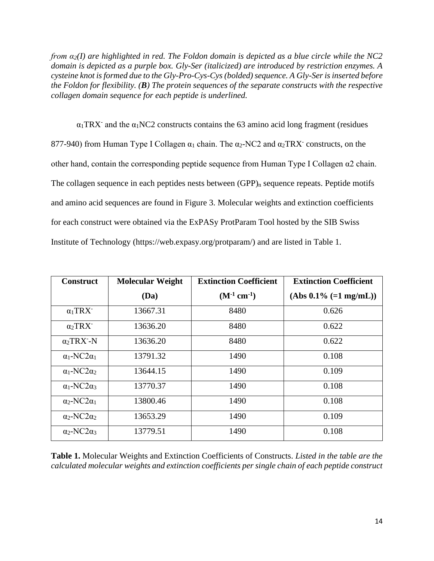*from α2(I) are highlighted in red. The Foldon domain is depicted as a blue circle while the NC2 domain is depicted as a purple box. Gly-Ser (italicized) are introduced by restriction enzymes. A cysteine knot is formed due to the Gly-Pro-Cys-Cys (bolded) sequence. A Gly-Ser is inserted before the Foldon for flexibility. (B) The protein sequences of the separate constructs with the respective collagen domain sequence for each peptide is underlined.*

 $\alpha_1$ TRX<sup>-</sup> and the  $\alpha_1$ NC2 constructs contains the 63 amino acid long fragment (residues 877-940) from Human Type I Collagen  $\alpha_1$  chain. The  $\alpha_2$ -NC2 and  $\alpha_2$ TRX<sup>-</sup> constructs, on the other hand, contain the corresponding peptide sequence from Human Type I Collagen α2 chain. The collagen sequence in each peptides nests between  $(GPP)_n$  sequence repeats. Peptide motifs and amino acid sequences are found in Figure 3. Molecular weights and extinction coefficients for each construct were obtained via the ExPASy ProtParam Tool hosted by the SIB Swiss Institute of Technology (https://web.expasy.org/protparam/) and are listed in Table 1.

| <b>Construct</b>               | <b>Molecular Weight</b> | <b>Extinction Coefficient</b> | <b>Extinction Coefficient</b> |
|--------------------------------|-------------------------|-------------------------------|-------------------------------|
|                                | (Da)                    | $(M^{-1} cm^{-1})$            | $(Abs 0.1\% (=1 mg/mL))$      |
| $\alpha_1$ TRX <sup>-</sup>    | 13667.31                | 8480                          | 0.626                         |
| $\alpha_2$ TRX <sup>-</sup>    | 13636.20                | 8480                          | 0.622                         |
| $\alpha_2$ TRX <sup>-</sup> -N | 13636.20                | 8480                          | 0.622                         |
| $\alpha_1$ -NC2 $\alpha_1$     | 13791.32                | 1490                          | 0.108                         |
| $\alpha_1$ -NC2 $\alpha_2$     | 13644.15                | 1490                          | 0.109                         |
| $\alpha_1$ -NC2 $\alpha_3$     | 13770.37                | 1490                          | 0.108                         |
| $\alpha_2$ -NC2 $\alpha_1$     | 13800.46                | 1490                          | 0.108                         |
| $\alpha_2$ -NC2 $\alpha_2$     | 13653.29                | 1490                          | 0.109                         |
| $\alpha_2$ -NC2 $\alpha_3$     | 13779.51                | 1490                          | 0.108                         |

**Table 1.** Molecular Weights and Extinction Coefficients of Constructs. *Listed in the table are the calculated molecular weights and extinction coefficients per single chain of each peptide construct*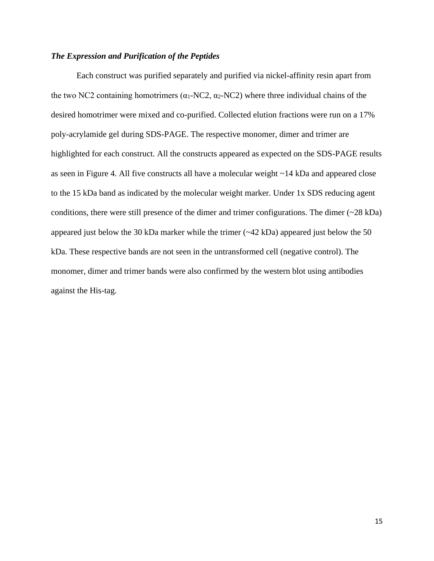#### *The Expression and Purification of the Peptides*

Each construct was purified separately and purified via nickel-affinity resin apart from the two NC2 containing homotrimers ( $\alpha_1$ -NC2,  $\alpha_2$ -NC2) where three individual chains of the desired homotrimer were mixed and co-purified. Collected elution fractions were run on a 17% poly-acrylamide gel during SDS-PAGE. The respective monomer, dimer and trimer are highlighted for each construct. All the constructs appeared as expected on the SDS-PAGE results as seen in Figure 4. All five constructs all have a molecular weight ~14 kDa and appeared close to the 15 kDa band as indicated by the molecular weight marker. Under 1x SDS reducing agent conditions, there were still presence of the dimer and trimer configurations. The dimer (~28 kDa) appeared just below the 30 kDa marker while the trimer (~42 kDa) appeared just below the 50 kDa. These respective bands are not seen in the untransformed cell (negative control). The monomer, dimer and trimer bands were also confirmed by the western blot using antibodies against the His-tag.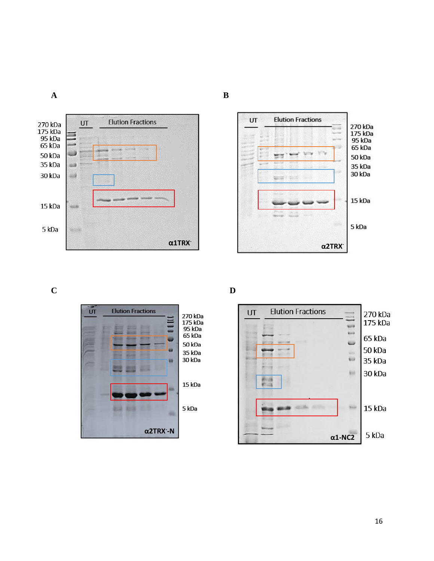



**C D**





**A B**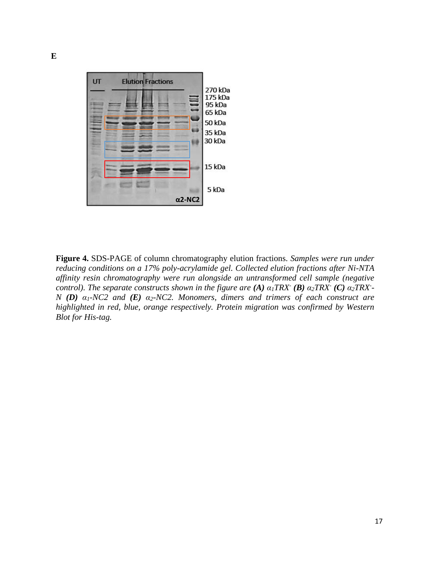

**Figure 4.** SDS-PAGE of column chromatography elution fractions. *Samples were run under reducing conditions on a 17% poly-acrylamide gel. Collected elution fractions after Ni-NTA affinity resin chromatography were run alongside an untransformed cell sample (negative control). The separate constructs shown in the figure are (A)*  $\alpha_1$ *TRX*<sup> $\cdot$ </sup> (B)  $\alpha_2$ *TRX* $\cdot$  (C)  $\alpha_2$ *TRX* $\cdot$ -*N (D) α1-NC2 and (E) α2-NC2. Monomers, dimers and trimers of each construct are highlighted in red, blue, orange respectively. Protein migration was confirmed by Western Blot for His-tag.*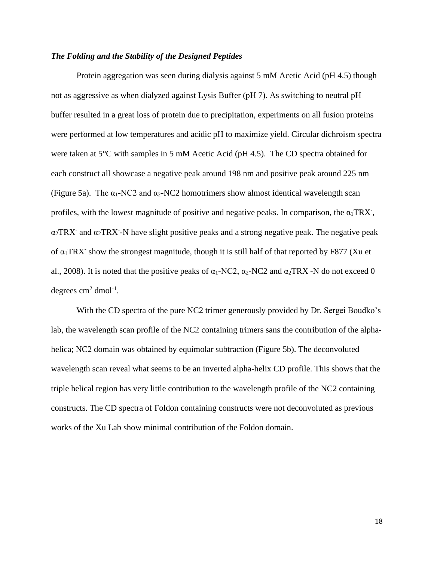#### *The Folding and the Stability of the Designed Peptides*

Protein aggregation was seen during dialysis against 5 mM Acetic Acid (pH 4.5) though not as aggressive as when dialyzed against Lysis Buffer (pH 7). As switching to neutral pH buffer resulted in a great loss of protein due to precipitation, experiments on all fusion proteins were performed at low temperatures and acidic pH to maximize yield. Circular dichroism spectra were taken at 5°C with samples in 5 mM Acetic Acid (pH 4.5). The CD spectra obtained for each construct all showcase a negative peak around 198 nm and positive peak around 225 nm (Figure 5a). The  $\alpha_1$ -NC2 and  $\alpha_2$ -NC2 homotrimers show almost identical wavelength scan profiles, with the lowest magnitude of positive and negative peaks. In comparison, the  $\alpha_1 \text{TR} X$ ,  $\alpha_2$ TRX<sup>-</sup> and  $\alpha_2$ TRX<sup>-</sup>-N have slight positive peaks and a strong negative peak. The negative peak of  $\alpha_1$ TRX<sup>-</sup> show the strongest magnitude, though it is still half of that reported by F877 (Xu et al., 2008). It is noted that the positive peaks of  $\alpha_1$ -NC2,  $\alpha_2$ -NC2 and  $\alpha_2$ TRX<sup>-</sup>-N do not exceed 0 degrees  $\text{cm}^2$  dmol<sup>-1</sup>.

With the CD spectra of the pure NC2 trimer generously provided by Dr. Sergei Boudko's lab, the wavelength scan profile of the NC2 containing trimers sans the contribution of the alphahelica; NC2 domain was obtained by equimolar subtraction (Figure 5b). The deconvoluted wavelength scan reveal what seems to be an inverted alpha-helix CD profile. This shows that the triple helical region has very little contribution to the wavelength profile of the NC2 containing constructs. The CD spectra of Foldon containing constructs were not deconvoluted as previous works of the Xu Lab show minimal contribution of the Foldon domain.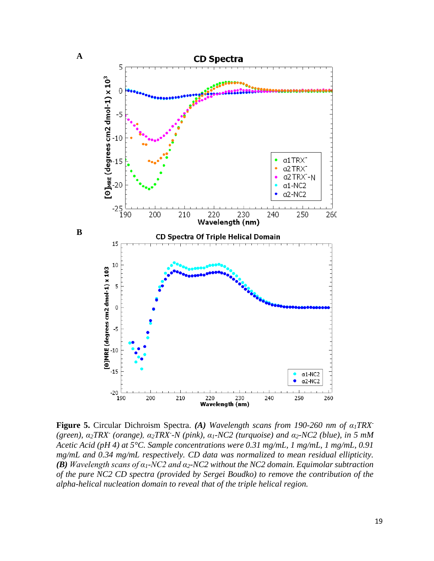

**Figure 5.** Circular Dichroism Spectra. *(A) Wavelength scans from 190-260 nm of α1TRX- (green), α2TRX- (orange), α2TRX- -N (pink), α1-NC2 (turquoise) and α2-NC2 (blue), in 5 mM Acetic Acid (pH 4) at 5°C. Sample concentrations were 0.31 mg/mL, 1 mg/mL, 1 mg/mL, 0.91 mg/mL and 0.34 mg/mL respectively. CD data was normalized to mean residual ellipticity. (B) Wavelength scans of α1-NC2 and α2-NC2 without the NC2 domain. Equimolar subtraction of the pure NC2 CD spectra (provided by Sergei Boudko) to remove the contribution of the alpha-helical nucleation domain to reveal that of the triple helical region.*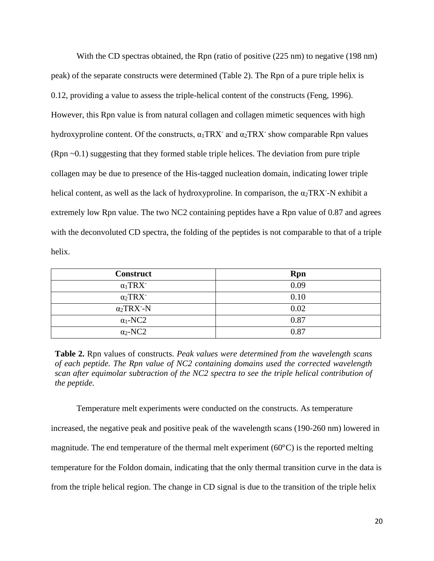With the CD spectras obtained, the Rpn (ratio of positive  $(225 \text{ nm})$  to negative  $(198 \text{ nm})$ ) peak) of the separate constructs were determined (Table 2). The Rpn of a pure triple helix is 0.12, providing a value to assess the triple-helical content of the constructs (Feng, 1996). However, this Rpn value is from natural collagen and collagen mimetic sequences with high hydroxyproline content. Of the constructs,  $\alpha_1$ TRX<sup>-</sup> and  $\alpha_2$ TRX<sup>-</sup> show comparable Rpn values (Rpn ~0.1) suggesting that they formed stable triple helices. The deviation from pure triple collagen may be due to presence of the His-tagged nucleation domain, indicating lower triple helical content, as well as the lack of hydroxyproline. In comparison, the  $\alpha_2$ TRX<sup>-</sup>-N exhibit a extremely low Rpn value. The two NC2 containing peptides have a Rpn value of 0.87 and agrees with the deconvoluted CD spectra, the folding of the peptides is not comparable to that of a triple helix.

| <b>Construct</b>               | <b>Rpn</b> |
|--------------------------------|------------|
| $\alpha_1$ TRX <sup>-</sup>    | 0.09       |
| $\alpha_2$ TRX <sup>-</sup>    | 0.10       |
| $\alpha_2$ TRX <sup>-</sup> -N | 0.02       |
| $\alpha_1$ -NC2                | 0.87       |
| $\alpha_2$ -NC2                | 0.87       |

**Table 2.** Rpn values of constructs. *Peak values were determined from the wavelength scans of each peptide. The Rpn value of NC2 containing domains used the corrected wavelength scan after equimolar subtraction of the NC2 spectra to see the triple helical contribution of the peptide.*

Temperature melt experiments were conducted on the constructs. As temperature increased, the negative peak and positive peak of the wavelength scans (190-260 nm) lowered in magnitude. The end temperature of the thermal melt experiment (60°C) is the reported melting temperature for the Foldon domain, indicating that the only thermal transition curve in the data is from the triple helical region. The change in CD signal is due to the transition of the triple helix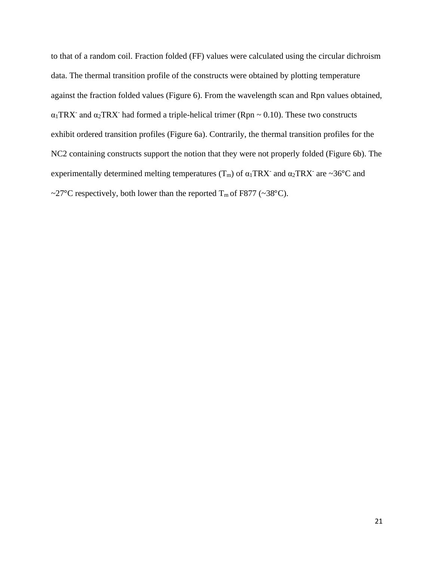to that of a random coil. Fraction folded (FF) values were calculated using the circular dichroism data. The thermal transition profile of the constructs were obtained by plotting temperature against the fraction folded values (Figure 6). From the wavelength scan and Rpn values obtained,  $\alpha_1$ TRX<sup>-</sup> and  $\alpha_2$ TRX<sup>-</sup> had formed a triple-helical trimer (Rpn  $\sim$  0.10). These two constructs exhibit ordered transition profiles (Figure 6a). Contrarily, the thermal transition profiles for the NC2 containing constructs support the notion that they were not properly folded (Figure 6b). The experimentally determined melting temperatures  $(T_m)$  of  $\alpha_1$ TRX<sup>-</sup> and  $\alpha_2$ TRX<sup>-</sup> are ~36°C and ~27°C respectively, both lower than the reported  $T_m$  of F877 (~38°C).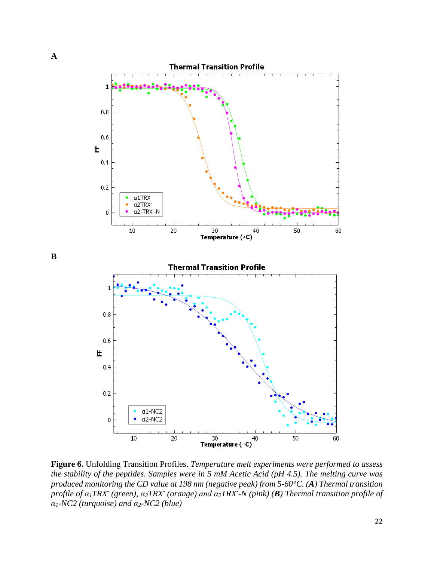

**Figure 6.** Unfolding Transition Profiles. *Temperature melt experiments were performed to assess the stability of the peptides. Samples were in 5 mM Acetic Acid (pH 4.5). The melting curve was produced monitoring the CD value at 198 nm (negative peak) from 5-60°C. (A) Thermal transition*  profile of  $\alpha_1$ TRX<sup>-</sup> (green),  $\alpha_2$ TRX<sup>-</sup> (orange) and  $\alpha_2$ TRX<sup>-</sup>-N (pink) (**B**) Thermal transition profile of *α1-NC2 (turquoise) and α2-NC2 (blue)*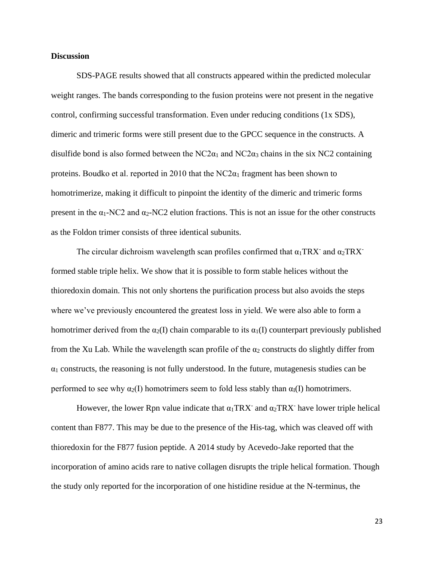#### **Discussion**

SDS-PAGE results showed that all constructs appeared within the predicted molecular weight ranges. The bands corresponding to the fusion proteins were not present in the negative control, confirming successful transformation. Even under reducing conditions (1x SDS), dimeric and trimeric forms were still present due to the GPCC sequence in the constructs. A disulfide bond is also formed between the  $NC2\alpha_1$  and  $NC2\alpha_3$  chains in the six NC2 containing proteins. Boudko et al. reported in 2010 that the  $NC2\alpha_1$  fragment has been shown to homotrimerize, making it difficult to pinpoint the identity of the dimeric and trimeric forms present in the  $\alpha_1$ -NC2 and  $\alpha_2$ -NC2 elution fractions. This is not an issue for the other constructs as the Foldon trimer consists of three identical subunits.

The circular dichroism wavelength scan profiles confirmed that  $\alpha_1 \text{T}\text{R}\text{X}$  and  $\alpha_2 \text{T}\text{R}\text{X}$ formed stable triple helix. We show that it is possible to form stable helices without the thioredoxin domain. This not only shortens the purification process but also avoids the steps where we've previously encountered the greatest loss in yield. We were also able to form a homotrimer derived from the  $\alpha_2(I)$  chain comparable to its  $\alpha_1(I)$  counterpart previously published from the Xu Lab. While the wavelength scan profile of the  $\alpha_2$  constructs do slightly differ from  $\alpha_1$  constructs, the reasoning is not fully understood. In the future, mutagenesis studies can be performed to see why  $\alpha_2(I)$  homotrimers seem to fold less stably than  $\alpha_1(I)$  homotrimers.

However, the lower Rpn value indicate that  $\alpha_1 \text{T}\text{R}\text{X}$  and  $\alpha_2 \text{T}\text{R}\text{X}$  have lower triple helical content than F877. This may be due to the presence of the His-tag, which was cleaved off with thioredoxin for the F877 fusion peptide. A 2014 study by Acevedo-Jake reported that the incorporation of amino acids rare to native collagen disrupts the triple helical formation. Though the study only reported for the incorporation of one histidine residue at the N-terminus, the

23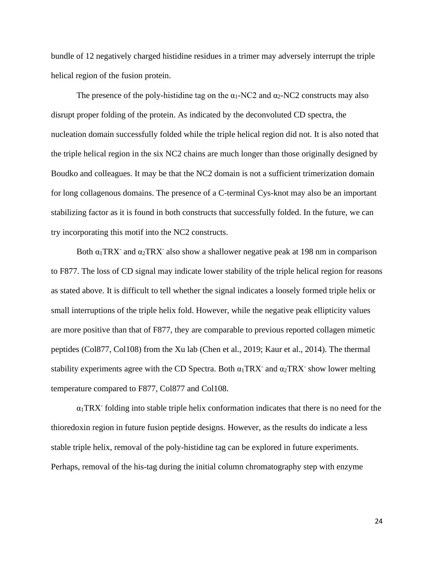bundle of 12 negatively charged histidine residues in a trimer may adversely interrupt the triple helical region of the fusion protein.

The presence of the poly-histidine tag on the  $\alpha_1$ -NC2 and  $\alpha_2$ -NC2 constructs may also disrupt proper folding of the protein. As indicated by the deconvoluted CD spectra, the nucleation domain successfully folded while the triple helical region did not. It is also noted that the triple helical region in the six NC2 chains are much longer than those originally designed by Boudko and colleagues. It may be that the NC2 domain is not a sufficient trimerization domain for long collagenous domains. The presence of a C-terminal Cys-knot may also be an important stabilizing factor as it is found in both constructs that successfully folded. In the future, we can try incorporating this motif into the NC2 constructs.

Both  $\alpha_1$ TRX<sup>-</sup> and  $\alpha_2$ TRX<sup>-</sup> also show a shallower negative peak at 198 nm in comparison to F877. The loss of CD signal may indicate lower stability of the triple helical region for reasons as stated above. It is difficult to tell whether the signal indicates a loosely formed triple helix or small interruptions of the triple helix fold. However, while the negative peak ellipticity values are more positive than that of F877, they are comparable to previous reported collagen mimetic peptides (Col877, Col108) from the Xu lab (Chen et al., 2019; Kaur et al., 2014). The thermal stability experiments agree with the CD Spectra. Both  $\alpha_1$ TRX<sup>-</sup> and  $\alpha_2$ TRX<sup>-</sup> show lower melting temperature compared to F877, Col877 and Col108.

 $\alpha_1$ TRX<sup>-</sup> folding into stable triple helix conformation indicates that there is no need for the thioredoxin region in future fusion peptide designs. However, as the results do indicate a less stable triple helix, removal of the poly-histidine tag can be explored in future experiments. Perhaps, removal of the his-tag during the initial column chromatography step with enzyme

24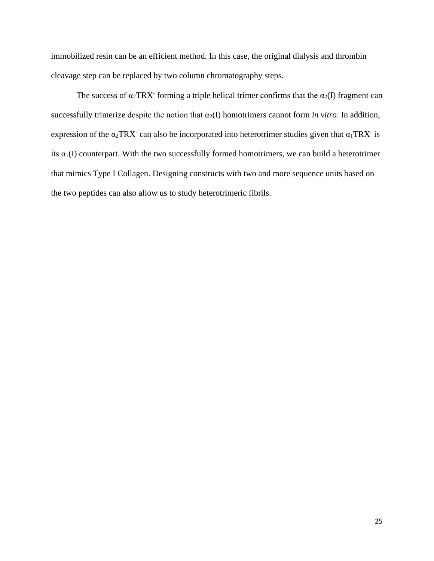immobilized resin can be an efficient method. In this case, the original dialysis and thrombin cleavage step can be replaced by two column chromatography steps.

The success of  $\alpha_2$ TRX<sup>-</sup> forming a triple helical trimer confirms that the  $\alpha_2(I)$  fragment can successfully trimerize despite the notion that  $\alpha_2(I)$  homotrimers cannot form *in vitro*. In addition, expression of the  $\alpha_2 \text{T}\text{R}\text{X}$  can also be incorporated into heterotrimer studies given that  $\alpha_1 \text{T}\text{R}\text{X}$  is its  $\alpha_1(I)$  counterpart. With the two successfully formed homotrimers, we can build a heterotrimer that mimics Type I Collagen. Designing constructs with two and more sequence units based on the two peptides can also allow us to study heterotrimeric fibrils.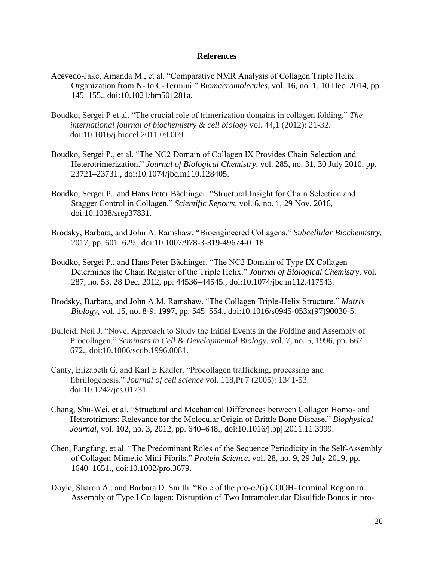#### **References**

- Acevedo-Jake, Amanda M., et al. "Comparative NMR Analysis of Collagen Triple Helix Organization from N- to C-Termini." *Biomacromolecules*, vol. 16, no. 1, 10 Dec. 2014, pp. 145–155., doi:10.1021/bm501281a.
- Boudko, Sergei P et al. "The crucial role of trimerization domains in collagen folding." *The international journal of biochemistry & cell biology* vol. 44,1 (2012): 21-32. doi:10.1016/j.biocel.2011.09.009
- Boudko, Sergei P., et al. "The NC2 Domain of Collagen IX Provides Chain Selection and Heterotrimerization." *Journal of Biological Chemistry*, vol. 285, no. 31, 30 July 2010, pp. 23721–23731., doi:10.1074/jbc.m110.128405.
- Boudko, Sergei P., and Hans Peter Bächinger. "Structural Insight for Chain Selection and Stagger Control in Collagen." *Scientific Reports*, vol. 6, no. 1, 29 Nov. 2016, doi:10.1038/srep37831.
- Brodsky, Barbara, and John A. Ramshaw. "Bioengineered Collagens." *Subcellular Biochemistry*, 2017, pp. 601–629., doi:10.1007/978-3-319-49674-0\_18.
- Boudko, Sergei P., and Hans Peter Bächinger. "The NC2 Domain of Type IX Collagen Determines the Chain Register of the Triple Helix." *Journal of Biological Chemistry*, vol. 287, no. 53, 28 Dec. 2012, pp. 44536–44545., doi:10.1074/jbc.m112.417543.
- Brodsky, Barbara, and John A.M. Ramshaw. "The Collagen Triple-Helix Structure." *Matrix Biology*, vol. 15, no. 8-9, 1997, pp. 545–554., doi:10.1016/s0945-053x(97)90030-5.
- Bulleid, Neil J. "Novel Approach to Study the Initial Events in the Folding and Assembly of Procollagen." *Seminars in Cell & Developmental Biology*, vol. 7, no. 5, 1996, pp. 667– 672., doi:10.1006/scdb.1996.0081.
- Canty, Elizabeth G, and Karl E Kadler. "Procollagen trafficking, processing and fibrillogenesis." *Journal of cell science* vol. 118,Pt 7 (2005): 1341-53. doi:10.1242/jcs.01731
- Chang, Shu-Wei, et al. "Structural and Mechanical Differences between Collagen Homo- and Heterotrimers: Relevance for the Molecular Origin of Brittle Bone Disease." *Biophysical Journal*, vol. 102, no. 3, 2012, pp. 640–648., doi:10.1016/j.bpj.2011.11.3999.
- Chen, Fangfang, et al. "The Predominant Roles of the Sequence Periodicity in the Self‐Assembly of Collagen‐Mimetic Mini‐Fibrils." *Protein Science*, vol. 28, no. 9, 29 July 2019, pp. 1640–1651., doi:10.1002/pro.3679.
- Doyle, Sharon A., and Barbara D. Smith. "Role of the pro-α2(i) COOH-Terminal Region in Assembly of Type I Collagen: Disruption of Two Intramolecular Disulfide Bonds in pro-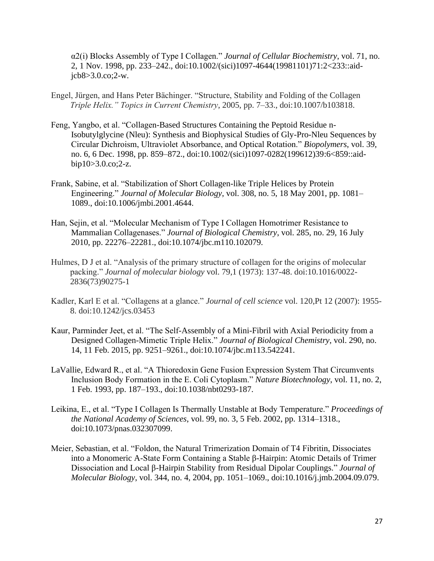α2(i) Blocks Assembly of Type I Collagen." *Journal of Cellular Biochemistry*, vol. 71, no. 2, 1 Nov. 1998, pp. 233–242., doi:10.1002/(sici)1097-4644(19981101)71:2<233::aidjcb8>3.0.co;2-w.

- Engel, Jürgen, and Hans Peter Bächinger. "Structure, Stability and Folding of the Collagen *Triple Helix." Topics in Current Chemistry*, 2005, pp. 7–33., doi:10.1007/b103818.
- Feng, Yangbo, et al. "Collagen-Based Structures Containing the Peptoid Residue n-Isobutylglycine (Nleu): Synthesis and Biophysical Studies of Gly-Pro-Nleu Sequences by Circular Dichroism, Ultraviolet Absorbance, and Optical Rotation." *Biopolymers*, vol. 39, no. 6, 6 Dec. 1998, pp. 859–872., doi:10.1002/(sici)1097-0282(199612)39:6<859::aidbip10>3.0.co;2-z.
- Frank, Sabine, et al. "Stabilization of Short Collagen-like Triple Helices by Protein Engineering." *Journal of Molecular Biology*, vol. 308, no. 5, 18 May 2001, pp. 1081– 1089., doi:10.1006/jmbi.2001.4644.
- Han, Sejin, et al. "Molecular Mechanism of Type I Collagen Homotrimer Resistance to Mammalian Collagenases." *Journal of Biological Chemistry*, vol. 285, no. 29, 16 July 2010, pp. 22276–22281., doi:10.1074/jbc.m110.102079.
- Hulmes, D J et al. "Analysis of the primary structure of collagen for the origins of molecular packing." *Journal of molecular biology* vol. 79,1 (1973): 137-48. doi:10.1016/0022- 2836(73)90275-1
- Kadler, Karl E et al. "Collagens at a glance." *Journal of cell science* vol. 120,Pt 12 (2007): 1955- 8. doi:10.1242/jcs.03453
- Kaur, Parminder Jeet, et al. "The Self-Assembly of a Mini-Fibril with Axial Periodicity from a Designed Collagen-Mimetic Triple Helix." *Journal of Biological Chemistry*, vol. 290, no. 14, 11 Feb. 2015, pp. 9251–9261., doi:10.1074/jbc.m113.542241.
- LaVallie, Edward R., et al. "A Thioredoxin Gene Fusion Expression System That Circumvents Inclusion Body Formation in the E. Coli Cytoplasm." *Nature Biotechnology*, vol. 11, no. 2, 1 Feb. 1993, pp. 187–193., doi:10.1038/nbt0293-187.
- Leikina, E., et al. "Type I Collagen Is Thermally Unstable at Body Temperature." *Proceedings of the National Academy of Sciences*, vol. 99, no. 3, 5 Feb. 2002, pp. 1314–1318., doi:10.1073/pnas.032307099.
- Meier, Sebastian, et al. "Foldon, the Natural Trimerization Domain of T4 Fibritin, Dissociates into a Monomeric A-State Form Containing a Stable β-Hairpin: Atomic Details of Trimer Dissociation and Local β-Hairpin Stability from Residual Dipolar Couplings." *Journal of Molecular Biology*, vol. 344, no. 4, 2004, pp. 1051–1069., doi:10.1016/j.jmb.2004.09.079.